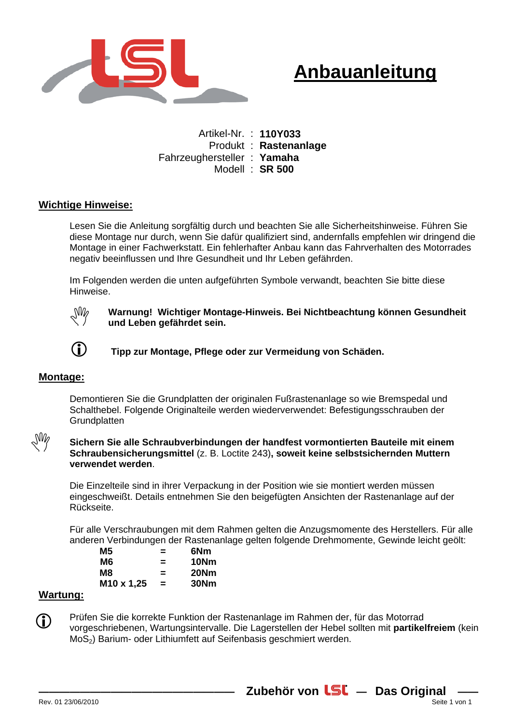

## **Anbauanleitung**

Artikel-Nr. : **110Y033**  Produkt : **Rastenanlage**  Fahrzeughersteller : **Yamaha**  Modell : **SR 500** 

## **Wichtige Hinweise:**

Lesen Sie die Anleitung sorgfältig durch und beachten Sie alle Sicherheitshinweise. Führen Sie diese Montage nur durch, wenn Sie dafür qualifiziert sind, andernfalls empfehlen wir dringend die Montage in einer Fachwerkstatt. Ein fehlerhafter Anbau kann das Fahrverhalten des Motorrades negativ beeinflussen und Ihre Gesundheit und Ihr Leben gefährden.

Im Folgenden werden die unten aufgeführten Symbole verwandt, beachten Sie bitte diese Hinweise.



**Warnung! Wichtiger Montage-Hinweis. Bei Nichtbeachtung können Gesundheit und Leben gefährdet sein.** 



**Tipp zur Montage, Pflege oder zur Vermeidung von Schäden.**

#### **Montage:**

 $\mathcal{N}_{\text{NN}}$ 

Demontieren Sie die Grundplatten der originalen Fußrastenanlage so wie Bremspedal und Schalthebel. Folgende Originalteile werden wiederverwendet: Befestigungsschrauben der **Grundplatten** 

#### **Sichern Sie alle Schraubverbindungen der handfest vormontierten Bauteile mit einem Schraubensicherungsmittel** (z. B. Loctite 243)**, soweit keine selbstsichernden Muttern verwendet werden**.

Die Einzelteile sind in ihrer Verpackung in der Position wie sie montiert werden müssen eingeschweißt. Details entnehmen Sie den beigefügten Ansichten der Rastenanlage auf der Rückseite.

Für alle Verschraubungen mit dem Rahmen gelten die Anzugsmomente des Herstellers. Für alle anderen Verbindungen der Rastenanlage gelten folgende Drehmomente, Gewinde leicht geölt:

| =   | 6Nm  |
|-----|------|
| $=$ | 10Nm |
| $=$ | 20Nm |
| $=$ | 30Nm |
|     |      |

## **Wartung:**

Prüfen Sie die korrekte Funktion der Rastenanlage im Rahmen der, für das Motorrad vorgeschriebenen, Wartungsintervalle. Die Lagerstellen der Hebel sollten mit **partikelfreiem** (kein MoS<sub>2</sub>) Barium- oder Lithiumfett auf Seifenbasis geschmiert werden. G)

**——————————————————— — —— Zubehör von Das Original** Rev. 01 23/06/2010 Seite 1 von 1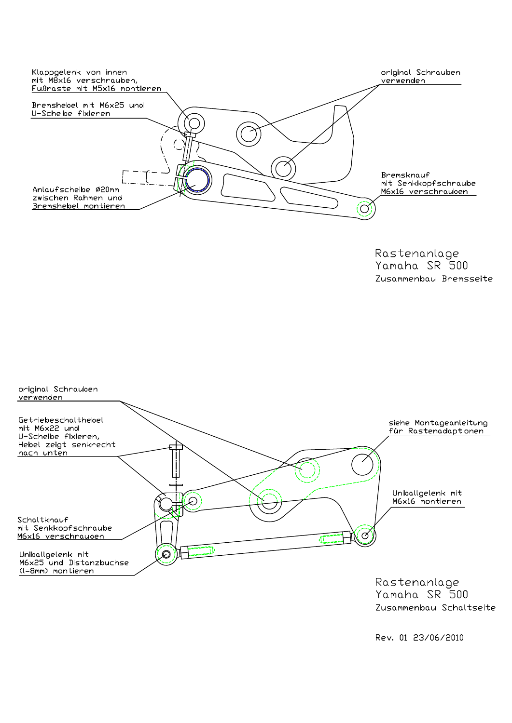

Rastenanlage Yamaha SR 500 Zusammenbau Bremsseite



Yamaha SR 500 Zusammenbau Schaltseite

Rev. 01 23/06/2010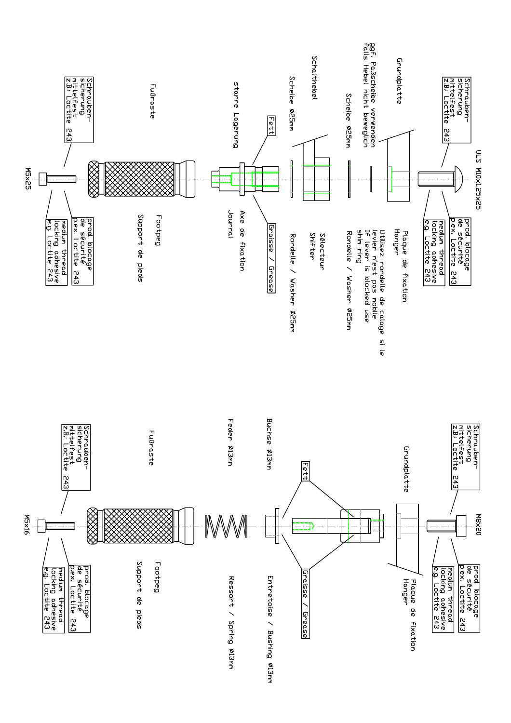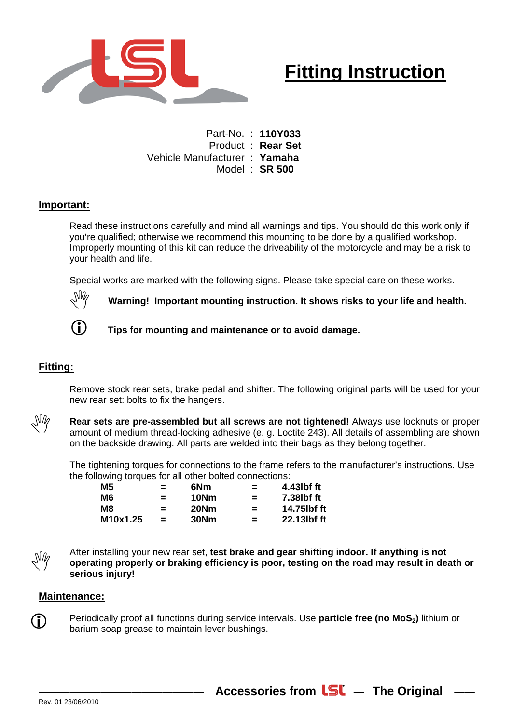

# **Fitting Instruction**

Part-No. : **110Y033**  Product : **Rear Set**  Vehicle Manufacturer : **Yamaha**  Model : **SR 500** 

## **Important:**

Read these instructions carefully and mind all warnings and tips. You should do this work only if you're qualified; otherwise we recommend this mounting to be done by a qualified workshop. Improperly mounting of this kit can reduce the driveability of the motorcycle and may be a risk to your health and life.

Special works are marked with the following signs. Please take special care on these works.



**Warning! Important mounting instruction. It shows risks to your life and health.** 



**Tips for mounting and maintenance or to avoid damage.** 

## **Fitting:**

Remove stock rear sets, brake pedal and shifter. The following original parts will be used for your new rear set: bolts to fix the hangers.



**Rear sets are pre-assembled but all screws are not tightened!** Always use locknuts or proper amount of medium thread-locking adhesive (e. g. Loctite 243). All details of assembling are shown on the backside drawing. All parts are welded into their bags as they belong together.

The tightening torques for connections to the frame refers to the manufacturer's instructions. Use the following torques for all other bolted connections:

| M5       | $=$ | 6Nm  | $\equiv$ | 4.43lbf ft  |
|----------|-----|------|----------|-------------|
| M6       | $=$ | 10Nm | $\equiv$ | 7.38lbf ft  |
| М8       | $=$ | 20Nm | $=$      | 14.75lbf ft |
| M10x1.25 | $=$ | 30Nm | $=$      | 22.13lbf ft |

After installing your new rear set, **test brake and gear shifting indoor. If anything is not operating properly or braking efficiency is poor, testing on the road may result in death or serious injury!** 

Accessories from **LSL** - The Original -

#### **Maintenance:**

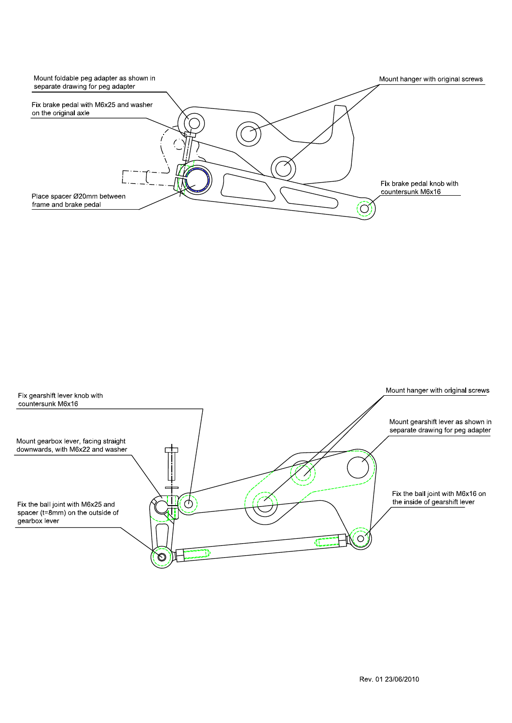